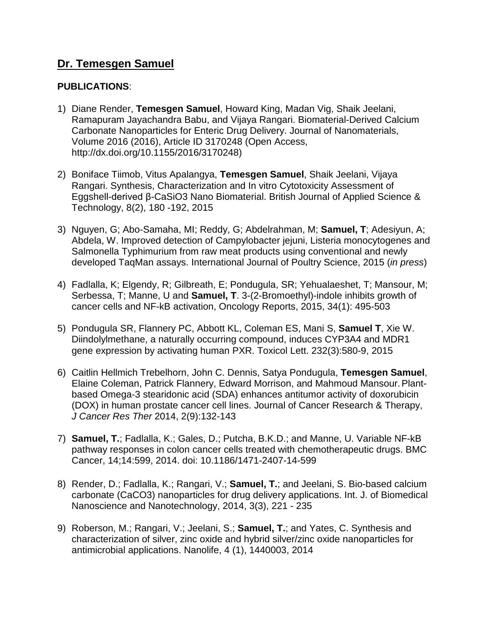# **Dr. Temesgen Samuel**

### **PUBLICATIONS**:

- 1) Diane Render, **Temesgen Samuel**, Howard King, Madan Vig, Shaik Jeelani, Ramapuram Jayachandra Babu, and Vijaya Rangari. Biomaterial-Derived Calcium Carbonate Nanoparticles for Enteric Drug Delivery. Journal of Nanomaterials, Volume 2016 (2016), Article ID 3170248 (Open Access, http://dx.doi.org/10.1155/2016/3170248)
- 2) Boniface Tiimob, Vitus Apalangya, **Temesgen Samuel**, Shaik Jeelani, Vijaya Rangari. Synthesis, Characterization and In vitro Cytotoxicity Assessment of Eggshell-derived β-CaSiO3 Nano Biomaterial. British Journal of Applied Science & Technology, 8(2), 180 -192, 2015
- 3) Nguyen, G; Abo-Samaha, MI; Reddy, G; Abdelrahman, M; **Samuel, T**; Adesiyun, A; Abdela, W. Improved detection of Campylobacter jejuni, Listeria monocytogenes and Salmonella Typhimurium from raw meat products using conventional and newly developed TaqMan assays. International Journal of Poultry Science, 2015 (*in press*)
- 4) Fadlalla, K; Elgendy, R; Gilbreath, E; Pondugula, SR; Yehualaeshet, T; Mansour, M; Serbessa, T; Manne, U and **Samuel, T**. 3-(2-Bromoethyl)-indole inhibits growth of cancer cells and NF-kB activation, Oncology Reports, 2015, 34(1): 495-503
- 5) Pondugula SR, Flannery PC, Abbott KL, Coleman ES, Mani S, **Samuel T**, Xie W. Diindolylmethane, a naturally occurring compound, induces CYP3A4 and MDR1 gene expression by activating human PXR. Toxicol Lett. 232(3):580-9, 2015
- 6) Caitlin Hellmich Trebelhorn, John C. Dennis, Satya Pondugula, **Temesgen Samuel**, Elaine Coleman, Patrick Flannery, Edward Morrison, and Mahmoud Mansour.Plantbased Omega-3 stearidonic acid (SDA) enhances antitumor activity of doxorubicin (DOX) in human prostate cancer cell lines. Journal of Cancer Research & Therapy, *J Cancer Res Ther* 2014, 2(9):132-143
- 7) **Samuel, T.**; Fadlalla, K.; Gales, D.; Putcha, B.K.D.; and Manne, U. Variable NF-kB pathway responses in colon cancer cells treated with chemotherapeutic drugs. BMC Cancer, 14;14:599, 2014. doi: 10.1186/1471-2407-14-599
- 8) Render, D.; Fadlalla, K.; Rangari, V.; **Samuel, T.**; and Jeelani, S. Bio-based calcium carbonate (CaCO3) nanoparticles for drug delivery applications. Int. J. of Biomedical Nanoscience and Nanotechnology, 2014, 3(3), 221 - 235
- 9) Roberson, M.; Rangari, V.; Jeelani, S.; **Samuel, T.**; and Yates, C. Synthesis and characterization of silver, zinc oxide and hybrid silver/zinc oxide nanoparticles for antimicrobial applications. Nanolife, 4 (1), 1440003, 2014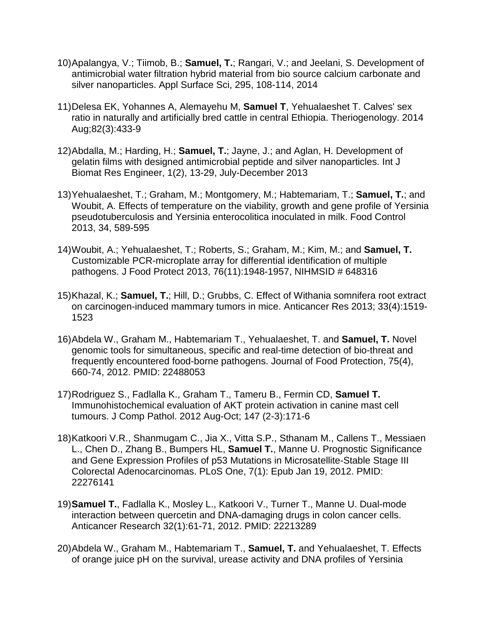- 10)Apalangya, V.; Tiimob, B.; **Samuel, T.**; Rangari, V.; and Jeelani, S. Development of antimicrobial water filtration hybrid material from bio source calcium carbonate and silver nanoparticles. Appl Surface Sci, 295, 108-114, 2014
- 11)Delesa EK, Yohannes A, Alemayehu M, **Samuel T**, Yehualaeshet T. Calves' sex ratio in naturally and artificially bred cattle in central Ethiopia. Theriogenology. 2014 Aug;82(3):433-9
- 12)Abdalla, M.; Harding, H.; **Samuel, T.**; Jayne, J.; and Aglan, H. Development of gelatin films with designed antimicrobial peptide and silver nanoparticles. Int J Biomat Res Engineer, 1(2), 13-29, July-December 2013
- 13)Yehualaeshet, T.; Graham, M.; Montgomery, M.; Habtemariam, T.; **Samuel, T.**; and Woubit, A. Effects of temperature on the viability, growth and gene profile of Yersinia pseudotuberculosis and Yersinia enterocolitica inoculated in milk. Food Control 2013, 34, 589-595
- 14)Woubit, A.; Yehualaeshet, T.; Roberts, S.; Graham, M.; Kim, M.; and **Samuel, T.** Customizable PCR-microplate array for differential identification of multiple pathogens. J Food Protect 2013, 76(11):1948-1957, NIHMSID # 648316
- 15)Khazal, K.; **Samuel, T.**; Hill, D.; Grubbs, C. Effect of Withania somnifera root extract on carcinogen-induced mammary tumors in mice. Anticancer Res 2013; 33(4):1519- 1523
- 16)Abdela W., Graham M., Habtemariam T., Yehualaeshet, T. and **Samuel, T.** Novel genomic tools for simultaneous, specific and real-time detection of bio-threat and frequently encountered food-borne pathogens. Journal of Food Protection, 75(4), 660-74, 2012. PMID: 22488053
- 17)Rodriguez S., Fadlalla K., Graham T., Tameru B., Fermin CD, **Samuel T.** Immunohistochemical evaluation of AKT protein activation in canine mast cell tumours. J Comp Pathol. 2012 Aug-Oct; 147 (2-3):171-6
- 18)Katkoori V.R., Shanmugam C., Jia X., Vitta S.P., Sthanam M., Callens T., Messiaen L., Chen D., Zhang B., Bumpers HL, **Samuel T.**, Manne U. Prognostic Significance and Gene Expression Profiles of p53 Mutations in Microsatellite-Stable Stage III Colorectal Adenocarcinomas. PLoS One, 7(1): Epub Jan 19, 2012. PMID: 22276141
- 19)**Samuel T.**, Fadlalla K., Mosley L., Katkoori V., Turner T., Manne U. Dual-mode interaction between quercetin and DNA-damaging drugs in colon cancer cells. Anticancer Research 32(1):61-71, 2012. PMID: 22213289
- 20)Abdela W., Graham M., Habtemariam T., **Samuel, T.** and Yehualaeshet, T. Effects of orange juice pH on the survival, urease activity and DNA profiles of Yersinia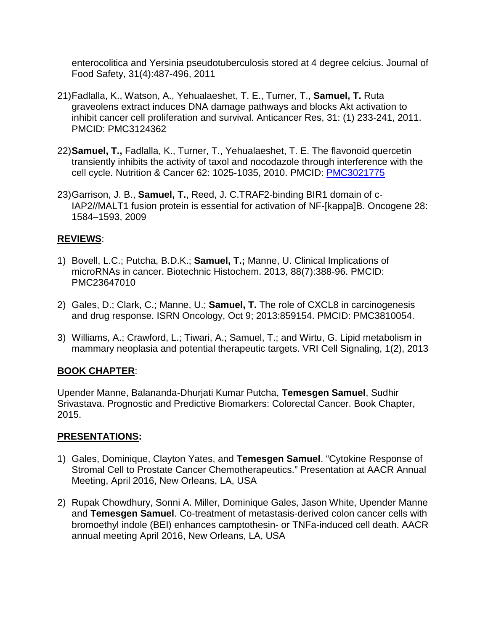enterocolitica and Yersinia pseudotuberculosis stored at 4 degree celcius. Journal of Food Safety, 31(4):487-496, 2011

- 21)Fadlalla, K., Watson, A., Yehualaeshet, T. E., Turner, T., **Samuel, T.** Ruta graveolens extract induces DNA damage pathways and blocks Akt activation to inhibit cancer cell proliferation and survival. Anticancer Res, 31: (1) 233-241, 2011. PMCID: PMC3124362
- 22)**Samuel, T.,** Fadlalla, K., Turner, T., Yehualaeshet, T. E. The flavonoid quercetin transiently inhibits the activity of taxol and nocodazole through interference with the cell cycle. Nutrition & Cancer 62: 1025-1035, 2010. PMCID: [PMC3021775](http://www.pubmedcentral.gov/articlerender.fcgi?tool=nihms&artid=3021775)
- 23)Garrison, J. B., **Samuel, T.**, Reed, J. C.TRAF2-binding BIR1 domain of c-IAP2//MALT1 fusion protein is essential for activation of NF-[kappa]B. Oncogene 28: 1584–1593, 2009

## **REVIEWS**:

- 1) Bovell, L.C.; Putcha, B.D.K.; **Samuel, T.;** Manne, U. Clinical Implications of microRNAs in cancer. Biotechnic Histochem. 2013, 88(7):388-96. PMCID: PMC23647010
- 2) Gales, D.; Clark, C.; Manne, U.; **Samuel, T.** The role of CXCL8 in carcinogenesis and drug response. ISRN Oncology, Oct 9; 2013:859154. PMCID: PMC3810054.
- 3) Williams, A.; Crawford, L.; Tiwari, A.; Samuel, T.; and Wirtu, G. Lipid metabolism in mammary neoplasia and potential therapeutic targets. VRI Cell Signaling, 1(2), 2013

## **BOOK CHAPTER**:

Upender Manne, Balananda-Dhurjati Kumar Putcha, **Temesgen Samuel**, Sudhir Srivastava. Prognostic and Predictive Biomarkers: Colorectal Cancer. Book Chapter, 2015.

## **PRESENTATIONS:**

- 1) Gales, Dominique, Clayton Yates, and **Temesgen Samuel**. "Cytokine Response of Stromal Cell to Prostate Cancer Chemotherapeutics." Presentation at AACR Annual Meeting, April 2016, New Orleans, LA, USA
- 2) Rupak Chowdhury, Sonni A. Miller, Dominique Gales, Jason White, Upender Manne and **Temesgen Samuel**. Co-treatment of metastasis-derived colon cancer cells with bromoethyl indole (BEI) enhances camptothesin- or TNFa-induced cell death. AACR annual meeting April 2016, New Orleans, LA, USA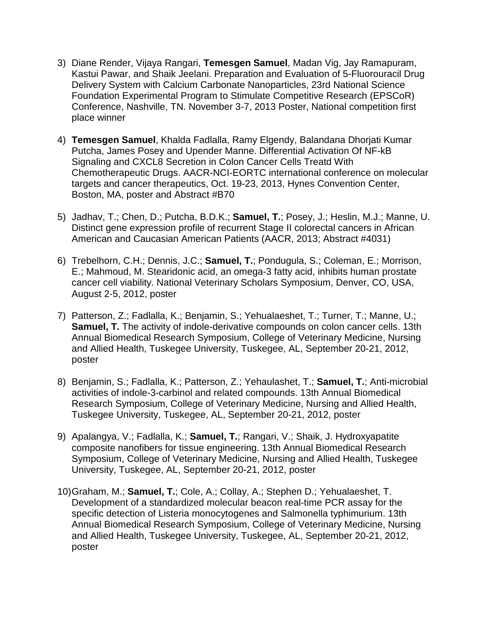- 3) Diane Render, Vijaya Rangari, **Temesgen Samuel**, Madan Vig, Jay Ramapuram, Kastui Pawar, and Shaik Jeelani. Preparation and Evaluation of 5-Fluorouracil Drug Delivery System with Calcium Carbonate Nanoparticles, 23rd National Science Foundation Experimental Program to Stimulate Competitive Research (EPSCoR) Conference, Nashville, TN. November 3-7, 2013 Poster, National competition first place winner
- 4) **Temesgen Samuel**, Khalda Fadlalla, Ramy Elgendy, Balandana Dhorjati Kumar Putcha, James Posey and Upender Manne. Differential Activation Of NF-kB Signaling and CXCL8 Secretion in Colon Cancer Cells Treatd With Chemotherapeutic Drugs. AACR-NCI-EORTC international conference on molecular targets and cancer therapeutics, Oct. 19-23, 2013, Hynes Convention Center, Boston, MA, poster and Abstract #B70
- 5) Jadhav, T.; Chen, D.; Putcha, B.D.K.; **Samuel, T.**; Posey, J.; Heslin, M.J.; Manne, U. Distinct gene expression profile of recurrent Stage II colorectal cancers in African American and Caucasian American Patients (AACR, 2013; Abstract #4031)
- 6) Trebelhorn, C.H.; Dennis, J.C.; **Samuel, T.**; Pondugula, S.; Coleman, E.; Morrison, E.; Mahmoud, M. Stearidonic acid, an omega-3 fatty acid, inhibits human prostate cancer cell viability. National Veterinary Scholars Symposium, Denver, CO, USA, August 2-5, 2012, poster
- 7) Patterson, Z.; Fadlalla, K.; Benjamin, S.; Yehualaeshet, T.; Turner, T.; Manne, U.; **Samuel, T.** The activity of indole-derivative compounds on colon cancer cells. 13th Annual Biomedical Research Symposium, College of Veterinary Medicine, Nursing and Allied Health, Tuskegee University, Tuskegee, AL, September 20-21, 2012, poster
- 8) Benjamin, S.; Fadlalla, K.; Patterson, Z.; Yehaulashet, T.; **Samuel, T.**; Anti-microbial activities of indole-3-carbinol and related compounds. 13th Annual Biomedical Research Symposium, College of Veterinary Medicine, Nursing and Allied Health, Tuskegee University, Tuskegee, AL, September 20-21, 2012, poster
- 9) Apalangya, V.; Fadlalla, K.; **Samuel, T.**; Rangari, V.; Shaik, J. Hydroxyapatite composite nanofibers for tissue engineering. 13th Annual Biomedical Research Symposium, College of Veterinary Medicine, Nursing and Allied Health, Tuskegee University, Tuskegee, AL, September 20-21, 2012, poster
- 10)Graham, M.; **Samuel, T.**; Cole, A.; Collay, A.; Stephen D.; Yehualaeshet, T. Development of a standardized molecular beacon real-time PCR assay for the specific detection of Listeria monocytogenes and Salmonella typhimurium. 13th Annual Biomedical Research Symposium, College of Veterinary Medicine, Nursing and Allied Health, Tuskegee University, Tuskegee, AL, September 20-21, 2012, poster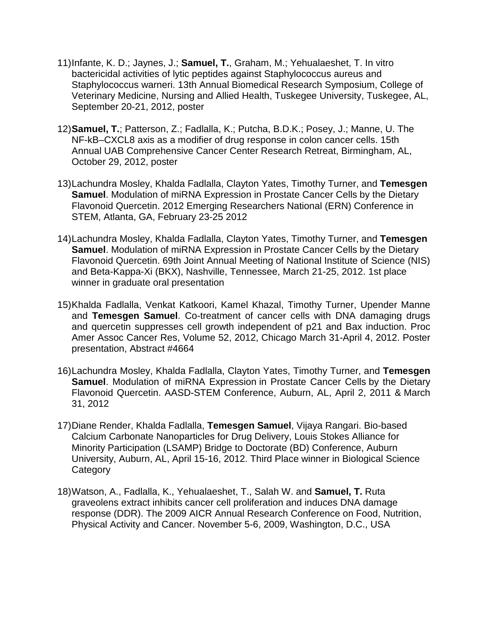- 11)Infante, K. D.; Jaynes, J.; **Samuel, T.**, Graham, M.; Yehualaeshet, T. In vitro bactericidal activities of lytic peptides against Staphylococcus aureus and Staphylococcus warneri. 13th Annual Biomedical Research Symposium, College of Veterinary Medicine, Nursing and Allied Health, Tuskegee University, Tuskegee, AL, September 20-21, 2012, poster
- 12)**Samuel, T.**; Patterson, Z.; Fadlalla, K.; Putcha, B.D.K.; Posey, J.; Manne, U. The NF-kB–CXCL8 axis as a modifier of drug response in colon cancer cells. 15th Annual UAB Comprehensive Cancer Center Research Retreat, Birmingham, AL, October 29, 2012, poster
- 13)Lachundra Mosley, Khalda Fadlalla, Clayton Yates, Timothy Turner, and **Temesgen Samuel**. Modulation of miRNA Expression in Prostate Cancer Cells by the Dietary Flavonoid Quercetin. 2012 Emerging Researchers National (ERN) Conference in STEM, Atlanta, GA, February 23-25 2012
- 14)Lachundra Mosley, Khalda Fadlalla, Clayton Yates, Timothy Turner, and **Temesgen Samuel**. Modulation of miRNA Expression in Prostate Cancer Cells by the Dietary Flavonoid Quercetin. 69th Joint Annual Meeting of National Institute of Science (NIS) and Beta-Kappa-Xi (BKX), Nashville, Tennessee, March 21-25, 2012. 1st place winner in graduate oral presentation
- 15)Khalda Fadlalla, Venkat Katkoori, Kamel Khazal, Timothy Turner, Upender Manne and **Temesgen Samuel**. Co-treatment of cancer cells with DNA damaging drugs and quercetin suppresses cell growth independent of p21 and Bax induction. Proc Amer Assoc Cancer Res, Volume 52, 2012, Chicago March 31-April 4, 2012. Poster presentation, Abstract #4664
- 16)Lachundra Mosley, Khalda Fadlalla, Clayton Yates, Timothy Turner, and **Temesgen Samuel**. Modulation of miRNA Expression in Prostate Cancer Cells by the Dietary Flavonoid Quercetin. AASD-STEM Conference, Auburn, AL, April 2, 2011 & March 31, 2012
- 17)Diane Render, Khalda Fadlalla, **Temesgen Samuel**, Vijaya Rangari. Bio-based Calcium Carbonate Nanoparticles for Drug Delivery, Louis Stokes Alliance for Minority Participation (LSAMP) Bridge to Doctorate (BD) Conference, Auburn University, Auburn, AL, April 15-16, 2012. Third Place winner in Biological Science **Category**
- 18)Watson, A., Fadlalla, K., Yehualaeshet, T., Salah W. and **Samuel, T.** Ruta graveolens extract inhibits cancer cell proliferation and induces DNA damage response (DDR). The 2009 AICR Annual Research Conference on Food, Nutrition, Physical Activity and Cancer. November 5-6, 2009, Washington, D.C., USA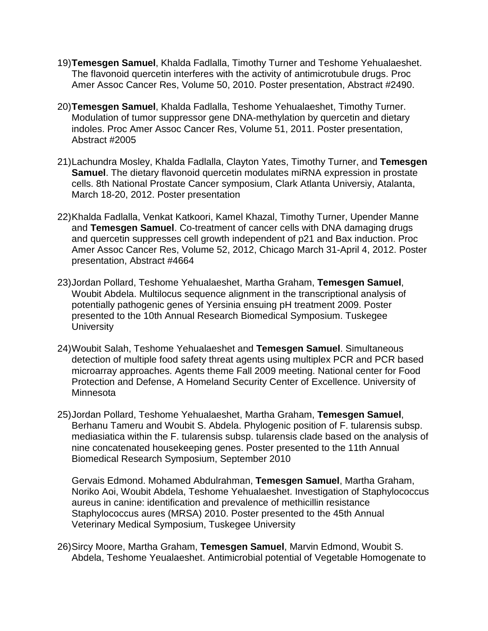- 19)**Temesgen Samuel**, Khalda Fadlalla, Timothy Turner and Teshome Yehualaeshet. The flavonoid quercetin interferes with the activity of antimicrotubule drugs. Proc Amer Assoc Cancer Res, Volume 50, 2010. Poster presentation, Abstract #2490.
- 20)**Temesgen Samuel**, Khalda Fadlalla, Teshome Yehualaeshet, Timothy Turner. Modulation of tumor suppressor gene DNA-methylation by quercetin and dietary indoles. Proc Amer Assoc Cancer Res, Volume 51, 2011. Poster presentation, Abstract #2005
- 21)Lachundra Mosley, Khalda Fadlalla, Clayton Yates, Timothy Turner, and **Temesgen Samuel**. The dietary flavonoid quercetin modulates miRNA expression in prostate cells. 8th National Prostate Cancer symposium, Clark Atlanta Universiy, Atalanta, March 18-20, 2012. Poster presentation
- 22)Khalda Fadlalla, Venkat Katkoori, Kamel Khazal, Timothy Turner, Upender Manne and **Temesgen Samuel**. Co-treatment of cancer cells with DNA damaging drugs and quercetin suppresses cell growth independent of p21 and Bax induction. Proc Amer Assoc Cancer Res, Volume 52, 2012, Chicago March 31-April 4, 2012. Poster presentation, Abstract #4664
- 23)Jordan Pollard, Teshome Yehualaeshet, Martha Graham, **Temesgen Samuel**, Woubit Abdela. Multilocus sequence alignment in the transcriptional analysis of potentially pathogenic genes of Yersinia ensuing pH treatment 2009. Poster presented to the 10th Annual Research Biomedical Symposium. Tuskegee **University**
- 24)Woubit Salah, Teshome Yehualaeshet and **Temesgen Samuel**. Simultaneous detection of multiple food safety threat agents using multiplex PCR and PCR based microarray approaches. Agents theme Fall 2009 meeting. National center for Food Protection and Defense, A Homeland Security Center of Excellence. University of Minnesota
- 25)Jordan Pollard, Teshome Yehualaeshet, Martha Graham, **Temesgen Samuel**, Berhanu Tameru and Woubit S. Abdela. Phylogenic position of F. tularensis subsp. mediasiatica within the F. tularensis subsp. tularensis clade based on the analysis of nine concatenated housekeeping genes. Poster presented to the 11th Annual Biomedical Research Symposium, September 2010

Gervais Edmond. Mohamed Abdulrahman, **Temesgen Samuel**, Martha Graham, Noriko Aoi, Woubit Abdela, Teshome Yehualaeshet. Investigation of Staphylococcus aureus in canine: identification and prevalence of methicillin resistance Staphylococcus aures (MRSA) 2010. Poster presented to the 45th Annual Veterinary Medical Symposium, Tuskegee University

26)Sircy Moore, Martha Graham, **Temesgen Samuel**, Marvin Edmond, Woubit S. Abdela, Teshome Yeualaeshet. Antimicrobial potential of Vegetable Homogenate to